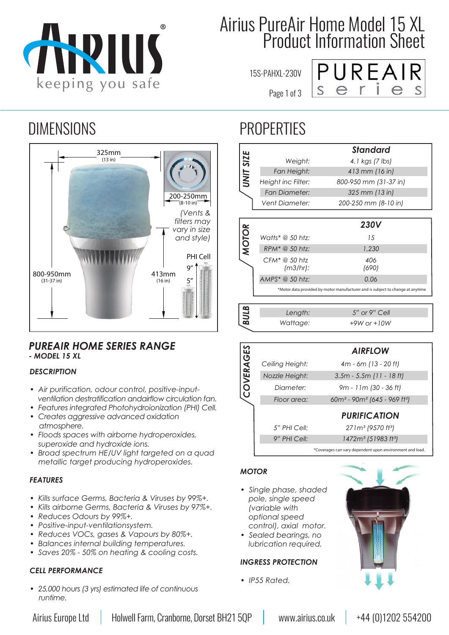

# Airius PureAir Home Model 15 XL Product Information Sheet

15S-PAHXL-230V

Page 1 of 3



### DIMENSIONS PROPERTIES



### *PUREAIR HOME SERIES RANGE - MODEL 15 XL*

#### *DESCRIPTION*

- *ï Air purification, odour control, positive-input ventilation destratification andairflow circulation fan.*
- *ï Features integrated Photohydroionization (PHI) Cell.*
- *ï Creates aggressive advanced oxidation atmosphere.*
- *ï Floods spaces with airborne hydroperoxides, superoxide and hydroxide ions.*
- *ï Broad spectrum HE/UV light targeted on a quad metallic target producing hydroperoxides.*

#### *FEATURES*

- *ï Kills surface Germs, Bacteria & Viruses by 99%+.*
- *ï Kills airborne Germs, Bacteria & Viruses by 97%+.*
- *ï Reduces Odours by 99%+.*
- *ï Positive-input-ventilationsystem.*
- *ï Reduces VOCs, gases & Vapours by 80%+.*
- *ï Balances internal building temperatures.*
- *ï Saves 20% 50% on heating & cooling costs.*

#### *CELL PERFORMANCE*

*ï 25,000 hours (3 yrs) estimated life of continuous runtime.*

|                  |                       | <b>Standard</b>                                                                |
|------------------|-----------------------|--------------------------------------------------------------------------------|
| <b>UNIT SIZE</b> | Weight:               | 4.1 kgs (7 lbs)                                                                |
|                  | Fan Height:           | 413 mm (16 in)                                                                 |
|                  | Height inc Filter:    | 800-950 mm (31-37 in)                                                          |
|                  | <b>Fan Diameter:</b>  | 325 mm (13 in)                                                                 |
|                  | <b>Vent Diameter:</b> | 200-250 mm (8-10 in)                                                           |
|                  |                       |                                                                                |
| <b>MOTOR</b>     |                       | <b>230V</b>                                                                    |
|                  | Watts* $@$ 50 htz:    | 15                                                                             |
|                  | RPM* @ 50 htz:        | 1.230                                                                          |
|                  | $CFM^* @ 50$ htz      | 406                                                                            |
|                  | (m3/hr):              | (690)                                                                          |
|                  | AMPS* @ 50 htz:       | 0.06                                                                           |
|                  |                       | *Motor data provided by motor manufacturer and is subject to change at anytime |
|                  |                       |                                                                                |
|                  |                       |                                                                                |
|                  | Length:               | 5" or 9" Cell                                                                  |
| <b>BULB</b>      | Wattage:              | $+9W$ or $+10W$                                                                |
|                  |                       |                                                                                |
|                  |                       | <b>AIRFLOW</b>                                                                 |
|                  | Ceiling Height:       | $4m - 6m (13 - 20 ft)$                                                         |
|                  | Nozzle Height:        | $3.5m - 5.5m$ (11 - 18 ft)                                                     |
|                  | Diameter:             | 9m - 11m (30 - 36 ft)                                                          |
| COVERAGES        | Floor area:           | 60m <sup>2</sup> - 90m <sup>2</sup> (645 - 969 ft <sup>2</sup> )               |
|                  |                       | <b>PURIFICATION</b>                                                            |
|                  | 5" PHI Cell:          | 271m <sup>3</sup> (9570 ft <sup>3</sup> )                                      |
|                  | 9" PHI Cell:          | 1472m <sup>3</sup> (51983 ft <sup>3</sup> )                                    |

#### *MOTOR*

- *ï Single phase, shaded pole, single speed (variable with optional speed control), axial motor.*
- *ï Sealed bearings, no lubrication required.*

#### *INGRESS PROTECTION*

*ï IP55 Rated.*

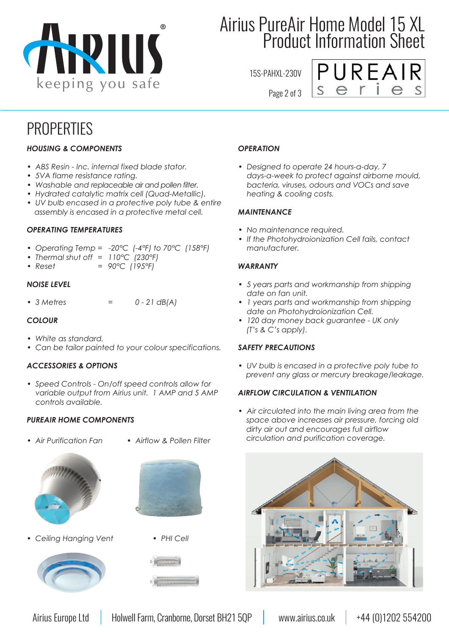

# Airius PureAir Home Model 15 XL Product Information Sheet

15S-PAHXL-230V



### **PROPERTIES**

### *HOUSING & COMPONENTS*

- *ï ABS Resin Inc. internal fixed blade stator.*
- *ï 5VA flame resistance rating.*
- *ï Washable and replaceable air and pollen filter.*
- *ï Hydrated catalytic matrix cell (Quad-Metallic).*
- *ï UV bulb encased in a protective poly tube & entire assembly is encased in a protective metal cell.*

#### *OPERATING TEMPERATURES*

- *ï Operating Temp = -20°C (-4°F) to 70°C (158°F)*
- *ï Thermal shut off = 110°C (230°F)*
- *ï Reset = 90°C (195°F)*

#### *NOISE LEVEL*

*ï 3 Metres = 0 - 21 dB(A)*

#### *COLOUR*

- *ï White as standard.*
- *ï Can be tailor painted to your colour specifications.*

#### *ACCESSORIES & OPTIONS*

*ï Speed Controls - On/off speed controls allow for variable output from Airius unit. 1 AMP and 5 AMP controls available.*

#### *PUREAIR HOME COMPONENTS*

- **Air Purification Fan · Airflow & Pollen Filter** 
	-



**· Ceiling Hanging Vent · PHI Cell** 







#### *OPERATION*

*ï Designed to operate 24 hours-a-day, 7 days-a-week to protect against airborne mould, bacteria, viruses, odours and VOCs and save heating & cooling costs.* 

#### *MAINTENANCE*

- *ï No maintenance required.*
- *ï If the Photohydroionization Cell fails, contact manufacturer.*

#### *WARRANTY*

- *ï 5 years parts and workmanship from shipping date on fan unit.*
- *ï 1 years parts and workmanship from shipping date on Photohydroionization Cell.*
- *ï 120 day money back guarantee UK only (T's & C's apply).*

#### *SAFETY PRECAUTIONS*

*ï UV bulb is encased in a protective poly tube to prevent any glass or mercury breakage/leakage.*

#### *AIRFLOW CIRCULATION & VENTILATION*

*ï Air circulated into the main living area from the space above increases air pressure, forcing old dirty air out and encourages full airflow circulation and purification coverage.*



Page 2 of 3